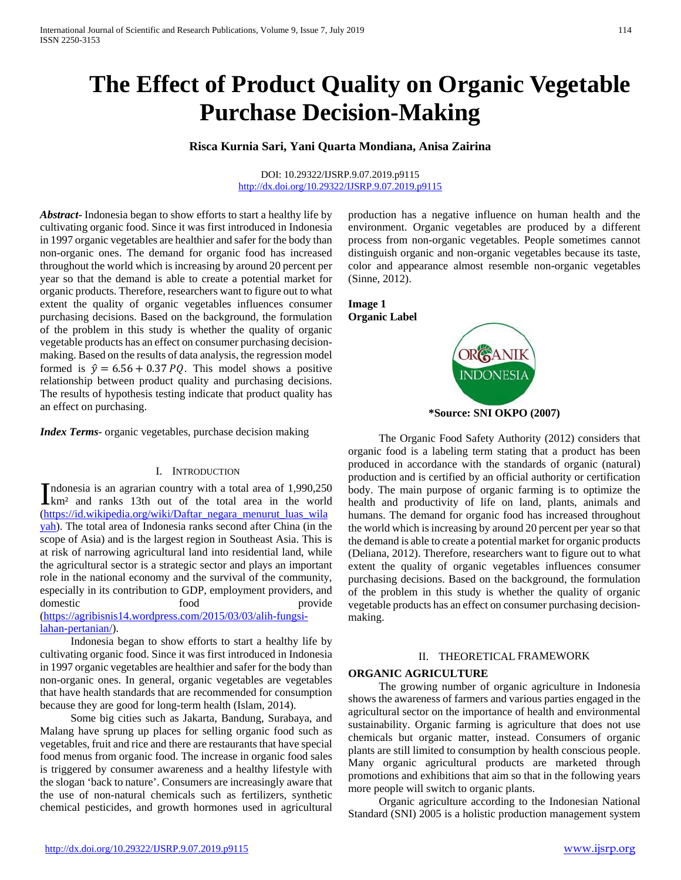# **The Effect of Product Quality on Organic Vegetable Purchase Decision-Making**

## **Risca Kurnia Sari, Yani Quarta Mondiana, Anisa Zairina**

DOI: 10.29322/IJSRP.9.07.2019.p9115 <http://dx.doi.org/10.29322/IJSRP.9.07.2019.p9115>

*Abstract***-** Indonesia began to show efforts to start a healthy life by cultivating organic food. Since it was first introduced in Indonesia in 1997 organic vegetables are healthier and safer for the body than non-organic ones. The demand for organic food has increased throughout the world which is increasing by around 20 percent per year so that the demand is able to create a potential market for organic products. Therefore, researchers want to figure out to what extent the quality of organic vegetables influences consumer purchasing decisions. Based on the background, the formulation of the problem in this study is whether the quality of organic vegetable products has an effect on consumer purchasing decisionmaking. Based on the results of data analysis, the regression model formed is  $\hat{y} = 6.56 + 0.37 \text{ PQ}$ . This model shows a positive relationship between product quality and purchasing decisions. The results of hypothesis testing indicate that product quality has an effect on purchasing.

*Index Terms*- organic vegetables, purchase decision making

#### I. INTRODUCTION

ndonesia is an agrarian country with a total area of 1,990,250 Indonesia is an agrarian country with a total area of 1,990,250  $km^2$  and ranks 13th out of the total area in the world [\(https://id.wikipedia.org/wiki/Daftar\\_negara\\_menurut\\_luas\\_wila](https://id.wikipedia.org/wiki/Daftar_negara_menurut_luas_wilayah) [yah\)](https://id.wikipedia.org/wiki/Daftar_negara_menurut_luas_wilayah). The total area of Indonesia ranks second after China (in the scope of Asia) and is the largest region in Southeast Asia. This is at risk of narrowing agricultural land into residential land, while the agricultural sector is a strategic sector and plays an important role in the national economy and the survival of the community, especially in its contribution to GDP, employment providers, and domestic food provide [\(https://agribisnis14.wordpress.com/2015/03/03/alih-fungsi](https://agribisnis14.wordpress.com/2015/03/03/alih-fungsi-lahan-pertanian/)[lahan-pertanian/\)](https://agribisnis14.wordpress.com/2015/03/03/alih-fungsi-lahan-pertanian/).

 Indonesia began to show efforts to start a healthy life by cultivating organic food. Since it was first introduced in Indonesia in 1997 organic vegetables are healthier and safer for the body than non-organic ones. In general, organic vegetables are vegetables that have health standards that are recommended for consumption because they are good for long-term health (Islam, 2014).

 Some big cities such as Jakarta, Bandung, Surabaya, and Malang have sprung up places for selling organic food such as vegetables, fruit and rice and there are restaurants that have special food menus from organic food. The increase in organic food sales is triggered by consumer awareness and a healthy lifestyle with the slogan 'back to nature'. Consumers are increasingly aware that the use of non-natural chemicals such as fertilizers, synthetic chemical pesticides, and growth hormones used in agricultural

production has a negative influence on human health and the environment. Organic vegetables are produced by a different process from non-organic vegetables. People sometimes cannot distinguish organic and non-organic vegetables because its taste, color and appearance almost resemble non-organic vegetables (Sinne, 2012).



**\*Source: SNI OKPO (2007)**

 The Organic Food Safety Authority (2012) considers that organic food is a labeling term stating that a product has been produced in accordance with the standards of organic (natural) production and is certified by an official authority or certification body. The main purpose of organic farming is to optimize the health and productivity of life on land, plants, animals and humans. The demand for organic food has increased throughout the world which is increasing by around 20 percent per year so that the demand is able to create a potential market for organic products (Deliana, 2012). Therefore, researchers want to figure out to what extent the quality of organic vegetables influences consumer purchasing decisions. Based on the background, the formulation of the problem in this study is whether the quality of organic vegetable products has an effect on consumer purchasing decisionmaking.

#### II. THEORETICAL FRAMEWORK

#### **ORGANIC AGRICULTURE**

 The growing number of organic agriculture in Indonesia shows the awareness of farmers and various parties engaged in the agricultural sector on the importance of health and environmental sustainability. Organic farming is agriculture that does not use chemicals but organic matter, instead. Consumers of organic plants are still limited to consumption by health conscious people. Many organic agricultural products are marketed through promotions and exhibitions that aim so that in the following years more people will switch to organic plants.

 Organic agriculture according to the Indonesian National Standard (SNI) 2005 is a holistic production management system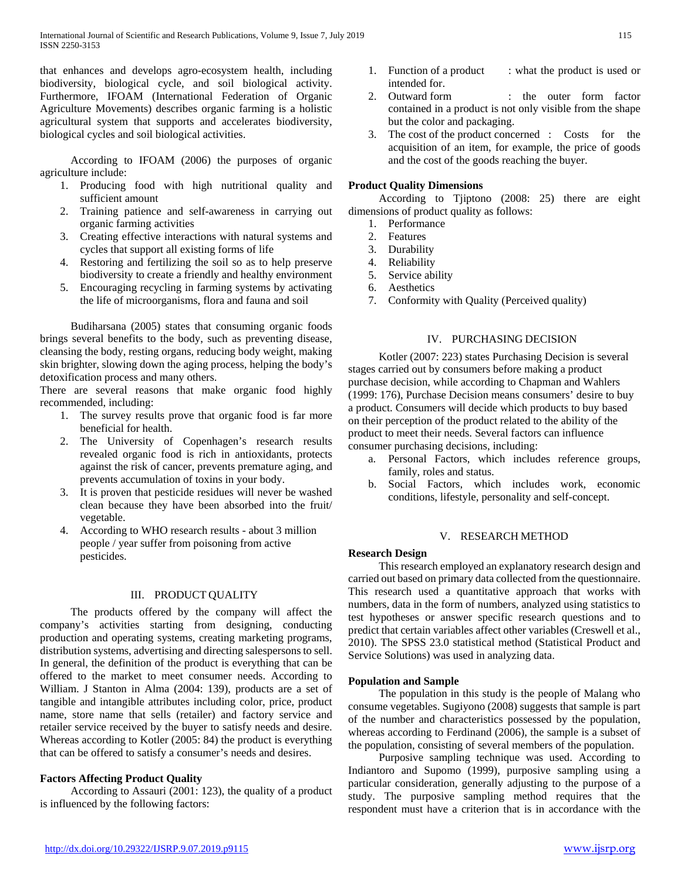that enhances and develops agro-ecosystem health, including biodiversity, biological cycle, and soil biological activity. Furthermore, IFOAM (International Federation of Organic Agriculture Movements) describes organic farming is a holistic agricultural system that supports and accelerates biodiversity, biological cycles and soil biological activities.

 According to IFOAM (2006) the purposes of organic agriculture include:

- 1. Producing food with high nutritional quality and sufficient amount
- 2. Training patience and self-awareness in carrying out organic farming activities
- 3. Creating effective interactions with natural systems and cycles that support all existing forms of life
- 4. Restoring and fertilizing the soil so as to help preserve biodiversity to create a friendly and healthy environment
- 5. Encouraging recycling in farming systems by activating the life of microorganisms, flora and fauna and soil

 Budiharsana (2005) states that consuming organic foods brings several benefits to the body, such as preventing disease, cleansing the body, resting organs, reducing body weight, making skin brighter, slowing down the aging process, helping the body's detoxification process and many others.

There are several reasons that make organic food highly recommended, including:

- 1. The survey results prove that organic food is far more beneficial for health.
- 2. The University of Copenhagen's research results revealed organic food is rich in antioxidants, protects against the risk of cancer, prevents premature aging, and prevents accumulation of toxins in your body.
- 3. It is proven that pesticide residues will never be washed clean because they have been absorbed into the fruit/ vegetable.
- 4. According to WHO research results about 3 million people / year suffer from poisoning from active pesticides.

## III. PRODUCT QUALITY

 The products offered by the company will affect the company's activities starting from designing, conducting production and operating systems, creating marketing programs, distribution systems, advertising and directing salespersons to sell. In general, the definition of the product is everything that can be offered to the market to meet consumer needs. According to William. J Stanton in Alma (2004: 139), products are a set of tangible and intangible attributes including color, price, product name, store name that sells (retailer) and factory service and retailer service received by the buyer to satisfy needs and desire. Whereas according to Kotler (2005: 84) the product is everything that can be offered to satisfy a consumer's needs and desires.

## **Factors Affecting Product Quality**

 According to Assauri (2001: 123), the quality of a product is influenced by the following factors:

- 1. Function of a product : what the product is used or intended for.
- 2. Outward form : the outer form factor contained in a product is not only visible from the shape but the color and packaging.
- 3. The cost of the product concerned : Costs for the acquisition of an item, for example, the price of goods and the cost of the goods reaching the buyer.

## **Product Quality Dimensions**

 According to Tjiptono (2008: 25) there are eight dimensions of product quality as follows:

- 1. Performance
- 2. Features
- 3. Durability
- 4. Reliability
- 5. Service ability
- 6. Aesthetics
- 7. Conformity with Quality (Perceived quality)

## IV. PURCHASING DECISION

 Kotler (2007: 223) states Purchasing Decision is several stages carried out by consumers before making a product purchase decision, while according to Chapman and Wahlers (1999: 176), Purchase Decision means consumers' desire to buy a product. Consumers will decide which products to buy based on their perception of the product related to the ability of the product to meet their needs. Several factors can influence consumer purchasing decisions, including:

- a. Personal Factors, which includes reference groups, family, roles and status.
- b. Social Factors, which includes work, economic conditions, lifestyle, personality and self-concept.

## V. RESEARCH METHOD

## **Research Design**

 This research employed an explanatory research design and carried out based on primary data collected from the questionnaire. This research used a quantitative approach that works with numbers, data in the form of numbers, analyzed using statistics to test hypotheses or answer specific research questions and to predict that certain variables affect other variables (Creswell et al., 2010). The SPSS 23.0 statistical method (Statistical Product and Service Solutions) was used in analyzing data.

## **Population and Sample**

 The population in this study is the people of Malang who consume vegetables. Sugiyono (2008) suggests that sample is part of the number and characteristics possessed by the population, whereas according to Ferdinand (2006), the sample is a subset of the population, consisting of several members of the population.

 Purposive sampling technique was used. According to Indiantoro and Supomo (1999), purposive sampling using a particular consideration, generally adjusting to the purpose of a study. The purposive sampling method requires that the respondent must have a criterion that is in accordance with the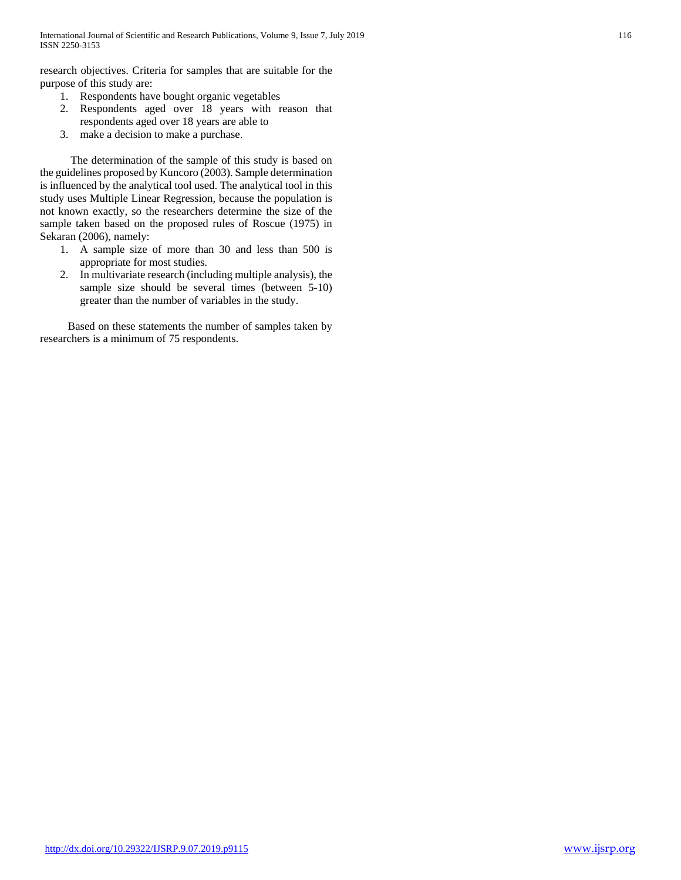research objectives. Criteria for samples that are suitable for the purpose of this study are:

- 1. Respondents have bought organic vegetables
- 2. Respondents aged over 18 years with reason that respondents aged over 18 years are able to
- 3. make a decision to make a purchase.

 The determination of the sample of this study is based on the guidelines proposed by Kuncoro (2003). Sample determination is influenced by the analytical tool used. The analytical tool in this study uses Multiple Linear Regression, because the population is not known exactly, so the researchers determine the size of the sample taken based on the proposed rules of Roscue (1975) in Sekaran (2006), namely:

- 1. A sample size of more than 30 and less than 500 is appropriate for most studies.
- 2. In multivariate research (including multiple analysis), the sample size should be several times (between 5-10) greater than the number of variables in the study.

 Based on these statements the number of samples taken by researchers is a minimum of 75 respondents.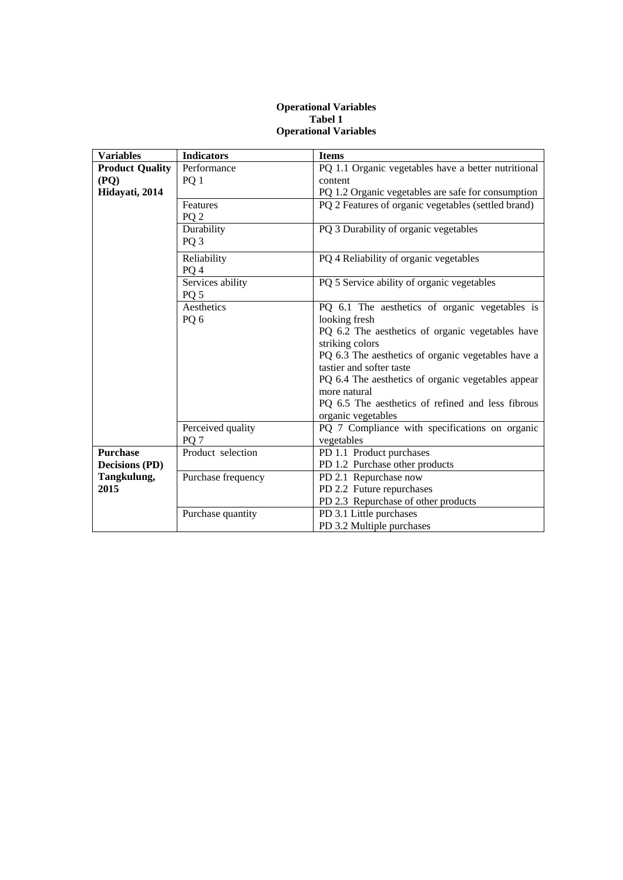## **Operational Variables Tabel 1 Operational Variables**

| <b>Variables</b>       | <b>Indicators</b>  | <b>Items</b>                                                                   |
|------------------------|--------------------|--------------------------------------------------------------------------------|
| <b>Product Quality</b> | Performance        | PQ 1.1 Organic vegetables have a better nutritional                            |
| (PQ)                   | PQ 1               | content                                                                        |
| Hidayati, 2014         |                    | PQ 1.2 Organic vegetables are safe for consumption                             |
|                        | Features           | PQ 2 Features of organic vegetables (settled brand)                            |
|                        | PQ <sub>2</sub>    |                                                                                |
|                        | Durability         | PQ 3 Durability of organic vegetables                                          |
|                        | PQ <sub>3</sub>    |                                                                                |
|                        | Reliability        | PQ 4 Reliability of organic vegetables                                         |
|                        | PQ <sub>4</sub>    |                                                                                |
|                        | Services ability   | PQ 5 Service ability of organic vegetables                                     |
|                        | PQ <sub>5</sub>    |                                                                                |
|                        | Aesthetics         | PQ 6.1 The aesthetics of organic vegetables is                                 |
|                        | PQ6                | looking fresh                                                                  |
|                        |                    | PQ 6.2 The aesthetics of organic vegetables have                               |
|                        |                    | striking colors                                                                |
|                        |                    | PQ 6.3 The aesthetics of organic vegetables have a<br>tastier and softer taste |
|                        |                    | PQ 6.4 The aesthetics of organic vegetables appear                             |
|                        |                    | more natural                                                                   |
|                        |                    | PQ 6.5 The aesthetics of refined and less fibrous                              |
|                        |                    | organic vegetables                                                             |
|                        | Perceived quality  | PQ 7 Compliance with specifications on organic                                 |
|                        | PQ <sub>7</sub>    | vegetables                                                                     |
| <b>Purchase</b>        | Product selection  | PD 1.1 Product purchases                                                       |
| <b>Decisions (PD)</b>  |                    | PD 1.2 Purchase other products                                                 |
| Tangkulung,            | Purchase frequency | PD 2.1 Repurchase now                                                          |
| 2015                   |                    | PD 2.2 Future repurchases                                                      |
|                        |                    | PD 2.3 Repurchase of other products                                            |
|                        | Purchase quantity  | PD 3.1 Little purchases                                                        |
|                        |                    | PD 3.2 Multiple purchases                                                      |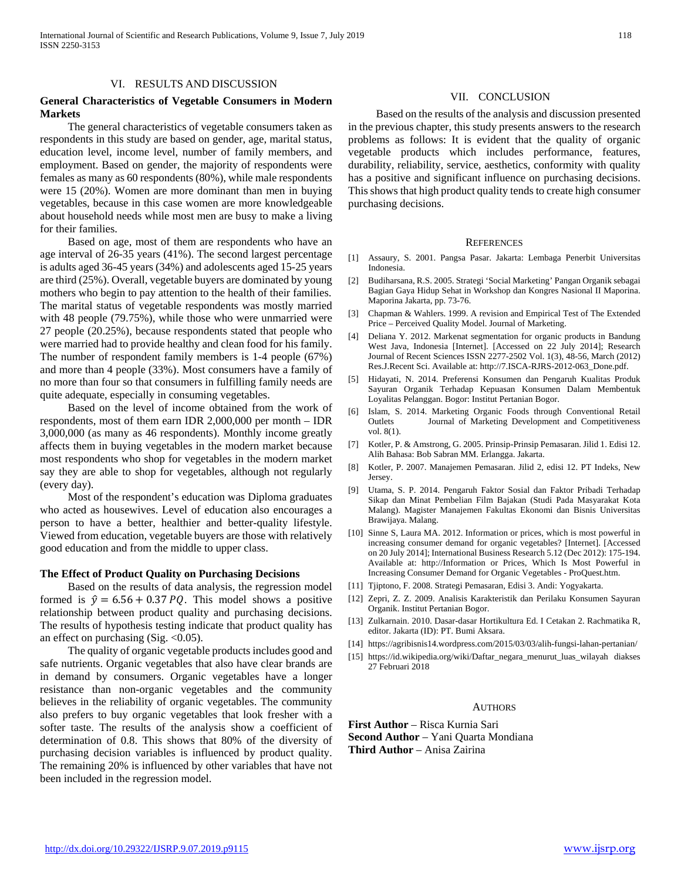#### VI. RESULTS AND DISCUSSION

## **General Characteristics of Vegetable Consumers in Modern Markets**

 The general characteristics of vegetable consumers taken as respondents in this study are based on gender, age, marital status, education level, income level, number of family members, and employment. Based on gender, the majority of respondents were females as many as 60 respondents (80%), while male respondents were 15 (20%). Women are more dominant than men in buying vegetables, because in this case women are more knowledgeable about household needs while most men are busy to make a living for their families.

 Based on age, most of them are respondents who have an age interval of 26-35 years (41%). The second largest percentage is adults aged 36-45 years (34%) and adolescents aged 15-25 years are third (25%). Overall, vegetable buyers are dominated by young mothers who begin to pay attention to the health of their families. The marital status of vegetable respondents was mostly married with 48 people (79.75%), while those who were unmarried were 27 people (20.25%), because respondents stated that people who were married had to provide healthy and clean food for his family. The number of respondent family members is 1-4 people (67%) and more than 4 people (33%). Most consumers have a family of no more than four so that consumers in fulfilling family needs are quite adequate, especially in consuming vegetables.

 Based on the level of income obtained from the work of respondents, most of them earn IDR 2,000,000 per month – IDR 3,000,000 (as many as 46 respondents). Monthly income greatly affects them in buying vegetables in the modern market because most respondents who shop for vegetables in the modern market say they are able to shop for vegetables, although not regularly (every day).

 Most of the respondent's education was Diploma graduates who acted as housewives. Level of education also encourages a person to have a better, healthier and better-quality lifestyle. Viewed from education, vegetable buyers are those with relatively good education and from the middle to upper class.

#### **The Effect of Product Quality on Purchasing Decisions**

 Based on the results of data analysis, the regression model formed is  $\hat{y} = 6.56 + 0.37 \text{ PQ}$ . This model shows a positive relationship between product quality and purchasing decisions. The results of hypothesis testing indicate that product quality has an effect on purchasing  $(Sig. <0.05)$ .

 The quality of organic vegetable products includes good and safe nutrients. Organic vegetables that also have clear brands are in demand by consumers. Organic vegetables have a longer resistance than non-organic vegetables and the community believes in the reliability of organic vegetables. The community also prefers to buy organic vegetables that look fresher with a softer taste. The results of the analysis show a coefficient of determination of 0.8. This shows that 80% of the diversity of purchasing decision variables is influenced by product quality. The remaining 20% is influenced by other variables that have not been included in the regression model.

#### VII. CONCLUSION

 Based on the results of the analysis and discussion presented in the previous chapter, this study presents answers to the research problems as follows: It is evident that the quality of organic vegetable products which includes performance, features, durability, reliability, service, aesthetics, conformity with quality has a positive and significant influence on purchasing decisions. This shows that high product quality tends to create high consumer purchasing decisions.

#### **REFERENCES**

- [1] Assaury, S. 2001. Pangsa Pasar. Jakarta: Lembaga Penerbit Universitas Indonesia.
- [2] Budiharsana, R.S. 2005. Strategi 'Social Marketing' Pangan Organik sebagai Bagian Gaya Hidup Sehat in Workshop dan Kongres Nasional II Maporina. Maporina Jakarta, pp. 73-76.
- [3] Chapman & Wahlers. 1999. A revision and Empirical Test of The Extended Price – Perceived Quality Model. Journal of Marketing.
- [4] Deliana Y. 2012. Markenat segmentation for organic products in Bandung West Java, Indonesia [Internet]. [Accessed on 22 July 2014]; Research Journal of Recent Sciences ISSN 2277-2502 Vol. 1(3), 48-56, March (2012) Res.J.Recent Sci. Available at: http://7.ISCA-RJRS-2012-063\_Done.pdf.
- [5] Hidayati, N. 2014. Preferensi Konsumen dan Pengaruh Kualitas Produk Sayuran Organik Terhadap Kepuasan Konsumen Dalam Membentuk Loyalitas Pelanggan. Bogor: Institut Pertanian Bogor.
- [6] Islam, S. 2014. Marketing Organic Foods through Conventional Retail Outlets Journal of Marketing Development and Competitiveness vol. 8(1).
- [7] Kotler, P. & Amstrong, G. 2005. Prinsip-Prinsip Pemasaran. Jilid 1. Edisi 12. Alih Bahasa: Bob Sabran MM. Erlangga. Jakarta.
- [8] Kotler, P. 2007. Manajemen Pemasaran. Jilid 2, edisi 12. PT Indeks, New Jersey.
- [9] Utama, S. P. 2014. Pengaruh Faktor Sosial dan Faktor Pribadi Terhadap Sikap dan Minat Pembelian Film Bajakan (Studi Pada Masyarakat Kota Malang). Magister Manajemen Fakultas Ekonomi dan Bisnis Universitas Brawijaya. Malang.
- [10] Sinne S, Laura MA. 2012. Information or prices, which is most powerful in increasing consumer demand for organic vegetables? [Internet]. [Accessed on 20 July 2014]; International Business Research 5.12 (Dec 2012): 175-194. Available at: http://Information or Prices, Which Is Most Powerful in Increasing Consumer Demand for Organic Vegetables - ProQuest.htm.
- [11] Tjiptono, F. 2008. Strategi Pemasaran, Edisi 3. Andi: Yogyakarta.
- [12] Zepri, Z. Z. 2009. Analisis Karakteristik dan Perilaku Konsumen Sayuran Organik. Institut Pertanian Bogor.
- [13] Zulkarnain. 2010. Dasar-dasar Hortikultura Ed. I Cetakan 2. Rachmatika R, editor. Jakarta (ID): PT. Bumi Aksara.
- [14] https://agribisnis14.wordpress.com/2015/03/03/alih-fungsi-lahan-pertanian/
- [15] https://id.wikipedia.org/wiki/Daftar\_negara\_menurut\_luas\_wilayah diakses 27 Februari 2018

#### **AUTHORS**

**First Author** – Risca Kurnia Sari **Second Author** – Yani Quarta Mondiana **Third Author** – Anisa Zairina